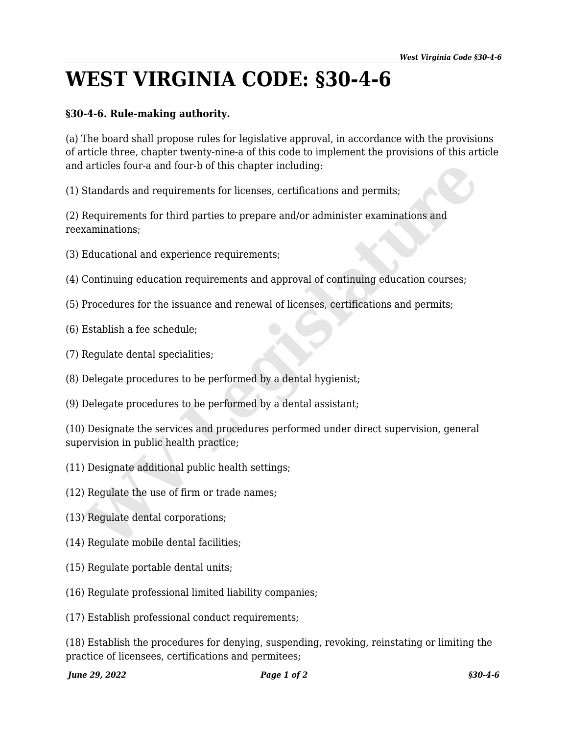## **WEST VIRGINIA CODE: §30-4-6**

## **§30-4-6. Rule-making authority.**

(a) The board shall propose rules for legislative approval, in accordance with the provisions of article three, chapter twenty-nine-a of this code to implement the provisions of this article and articles four-a and four-b of this chapter including:

(1) Standards and requirements for licenses, certifications and permits;

(2) Requirements for third parties to prepare and/or administer examinations and reexaminations;

(3) Educational and experience requirements;

- (4) Continuing education requirements and approval of continuing education courses;
- (5) Procedures for the issuance and renewal of licenses, certifications and permits;
- (6) Establish a fee schedule;
- (7) Regulate dental specialities;
- (8) Delegate procedures to be performed by a dental hygienist;
- (9) Delegate procedures to be performed by a dental assistant;

(10) Designate the services and procedures performed under direct supervision, general supervision in public health practice; a articles four-a and four-b of this chapter including:<br>
Standards and requirements for licenses, certifications and permits;<br>
Requirements for third parties to prepare and/or administer examinations and<br>
xaminations;<br>
Edu

- (11) Designate additional public health settings;
- (12) Regulate the use of firm or trade names;
- (13) Regulate dental corporations;
- (14) Regulate mobile dental facilities;
- (15) Regulate portable dental units;
- (16) Regulate professional limited liability companies;
- (17) Establish professional conduct requirements;

(18) Establish the procedures for denying, suspending, revoking, reinstating or limiting the practice of licensees, certifications and permitees;